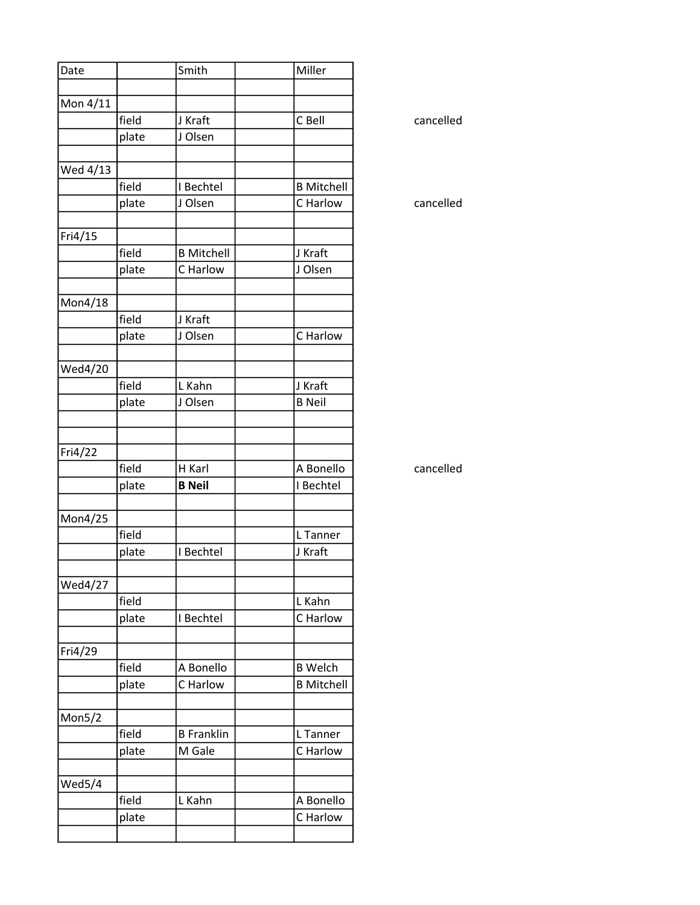| Date     |       | Smith             | Miller            |
|----------|-------|-------------------|-------------------|
|          |       |                   |                   |
| Mon 4/11 |       |                   |                   |
|          | field | J Kraft           | C Bell            |
|          | plate | J Olsen           |                   |
|          |       |                   |                   |
| Wed 4/13 | field | I Bechtel         | <b>B Mitchell</b> |
|          |       | J Olsen           | C Harlow          |
|          | plate |                   |                   |
| Fri4/15  |       |                   |                   |
|          | field | <b>B Mitchell</b> | J Kraft           |
|          | plate | C Harlow          | J Olsen           |
|          |       |                   |                   |
| Mon4/18  |       |                   |                   |
|          | field | J Kraft           |                   |
|          | plate | J Olsen           | C Harlow          |
| Wed4/20  |       |                   |                   |
|          | field | L Kahn            | J Kraft           |
|          | plate | J Olsen           | <b>B</b> Neil     |
|          |       |                   |                   |
|          |       |                   |                   |
| Fri4/22  |       |                   |                   |
|          | field | H Karl            | A Bonello         |
|          | plate | <b>B</b> Neil     | I Bechtel         |
| Mon4/25  |       |                   |                   |
|          | field |                   | L Tanner          |
|          | plate | I Bechtel         | J Kraft           |
|          |       |                   |                   |
| Wed4/27  |       |                   |                   |
|          | field |                   | L Kahn            |
|          | plate | I Bechtel         | C Harlow          |
| Fri4/29  |       |                   |                   |
|          | field | A Bonello         | <b>B</b> Welch    |
|          | plate | C Harlow          | <b>B Mitchell</b> |
|          |       |                   |                   |
| Mon5/2   |       |                   |                   |
|          | field | <b>B</b> Franklin | L Tanner          |
|          | plate | M Gale            | C Harlow          |
|          |       |                   |                   |
| Wed5/4   | field |                   | A Bonello         |
|          |       | L Kahn            |                   |
|          | plate |                   | C Harlow          |
|          |       |                   |                   |

cancelled

cancelled

cancelled